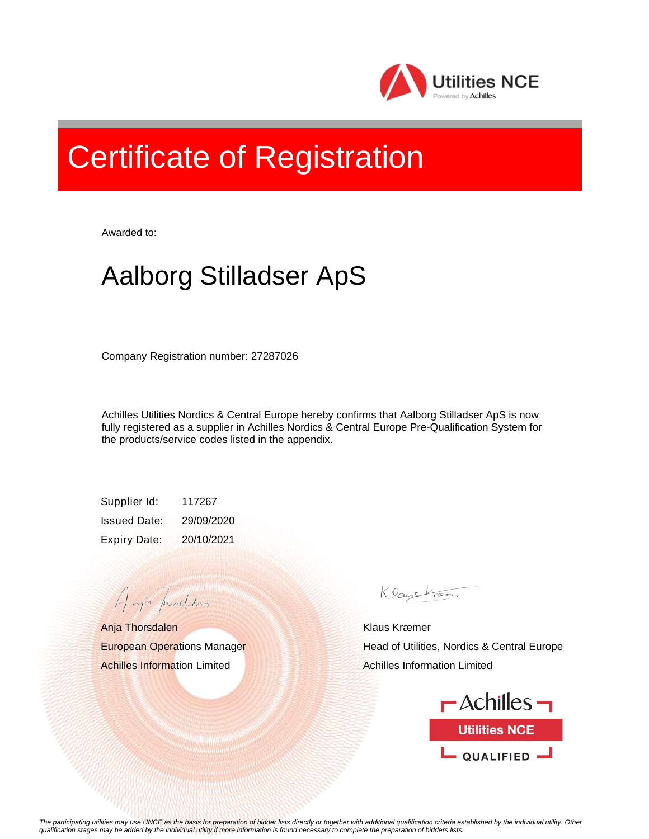

## Certificate of Registration

Awarded to:

## Aalborg Stilladser ApS

Company Registration number: 27287026

Achilles Utilities Nordics & Central Europe hereby confirms that Aalborg Stilladser ApS is now fully registered as a supplier in Achilles Nordics & Central Europe Pre-Qualification System for the products/service codes listed in the appendix.

Supplier Id: 117267 Issued Date: 29/09/2020 Expiry Date: 20/10/2021

Anja Thorsdalen European Operations Manager Achilles Information Limited

A aja providdan

Klaustrom

Klaus Kræmer Head of Utilities, Nordics & Central Europe Achilles Information Limited



*The participating utilities may use UNCE as the basis for preparation of bidder lists directly or together with additional qualification criteria established by the individual utility. Other qualification stages may be added by the individual utility if more information is found necessary to complete the preparation of bidders lists.*